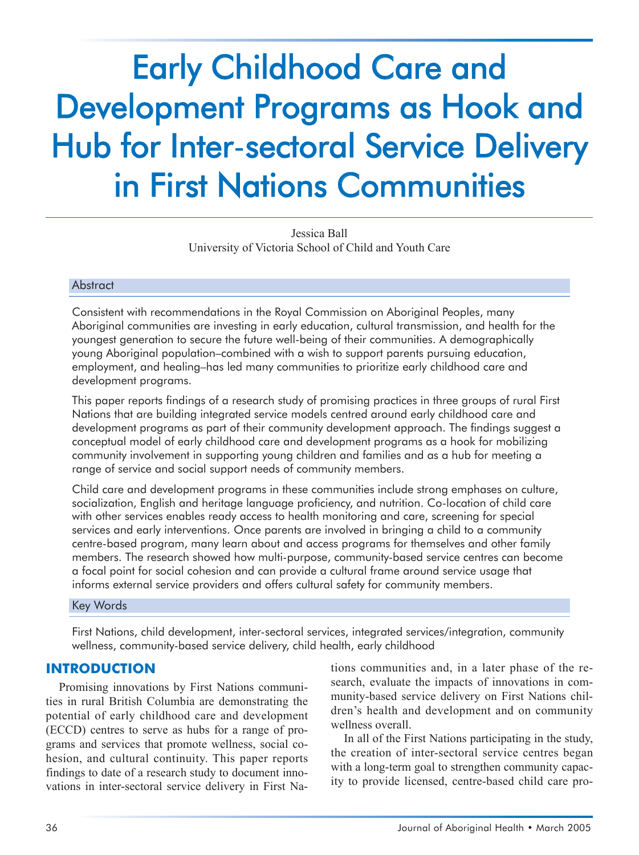# Early Childhood Care and Development Programs as Hook and Hub for Inter-sectoral Service Delivery in First Nations Communities

Jessica Ball University of Victoria School of Child and Youth Care

#### Abstract

Consistent with recommendations in the Royal Commission on Aboriginal Peoples, many Aboriginal communities are investing in early education, cultural transmission, and health for the youngest generation to secure the future well-being of their communities. A demographically young Aboriginal population–combined with a wish to support parents pursuing education, employment, and healing–has led many communities to prioritize early childhood care and development programs.

This paper reports findings of a research study of promising practices in three groups of rural First Nations that are building integrated service models centred around early childhood care and development programs as part of their community development approach. The findings suggest a conceptual model of early childhood care and development programs as a hook for mobilizing community involvement in supporting young children and families and as a hub for meeting a range of service and social support needs of community members.

Child care and development programs in these communities include strong emphases on culture, socialization, English and heritage language proficiency, and nutrition. Co-location of child care with other services enables ready access to health monitoring and care, screening for special services and early interventions. Once parents are involved in bringing a child to a community centre-based program, many learn about and access programs for themselves and other family members. The research showed how multi-purpose, community-based service centres can become a focal point for social cohesion and can provide a cultural frame around service usage that informs external service providers and offers cultural safety for community members.

Key Words

First Nations, child development, inter-sectoral services, integrated services/integration, community wellness, community-based service delivery, child health, early childhood

#### **INTRODUCTION**

Promising innovations by First Nations communities in rural British Columbia are demonstrating the potential of early childhood care and development (ECCD) centres to serve as hubs for a range of programs and services that promote wellness, social cohesion, and cultural continuity. This paper reports findings to date of a research study to document innovations in inter-sectoral service delivery in First Na-

tions communities and, in a later phase of the research, evaluate the impacts of innovations in community-based service delivery on First Nations children's health and development and on community wellness overall.

In all of the First Nations participating in the study, the creation of inter-sectoral service centres began with a long-term goal to strengthen community capacity to provide licensed, centre-based child care pro-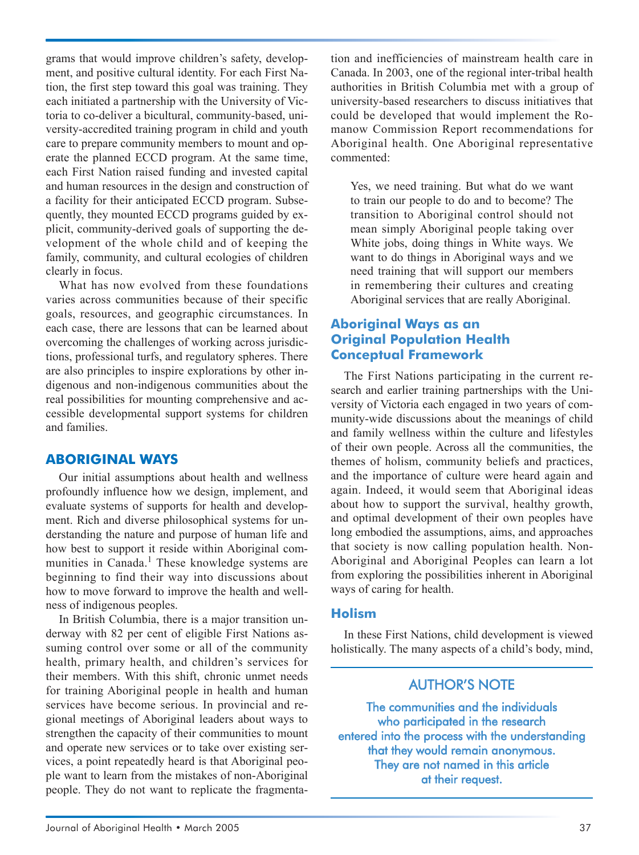grams that would improve children's safety, development, and positive cultural identity. For each First Nation, the first step toward this goal was training. They each initiated a partnership with the University of Victoria to co-deliver a bicultural, community-based, university-accredited training program in child and youth care to prepare community members to mount and operate the planned ECCD program. At the same time, each First Nation raised funding and invested capital and human resources in the design and construction of a facility for their anticipated ECCD program. Subsequently, they mounted ECCD programs guided by explicit, community-derived goals of supporting the development of the whole child and of keeping the family, community, and cultural ecologies of children clearly in focus.

What has now evolved from these foundations varies across communities because of their specific goals, resources, and geographic circumstances. In each case, there are lessons that can be learned about overcoming the challenges of working across jurisdictions, professional turfs, and regulatory spheres. There are also principles to inspire explorations by other indigenous and non-indigenous communities about the real possibilities for mounting comprehensive and accessible developmental support systems for children and families.

#### **ABORIGINAL WAYS**

Our initial assumptions about health and wellness profoundly influence how we design, implement, and evaluate systems of supports for health and development. Rich and diverse philosophical systems for understanding the nature and purpose of human life and how best to support it reside within Aboriginal communities in Canada.<sup>1</sup> These knowledge systems are beginning to find their way into discussions about how to move forward to improve the health and wellness of indigenous peoples.

In British Columbia, there is a major transition underway with 82 per cent of eligible First Nations assuming control over some or all of the community health, primary health, and children's services for their members. With this shift, chronic unmet needs for training Aboriginal people in health and human services have become serious. In provincial and regional meetings of Aboriginal leaders about ways to strengthen the capacity of their communities to mount and operate new services or to take over existing services, a point repeatedly heard is that Aboriginal people want to learn from the mistakes of non-Aboriginal people. They do not want to replicate the fragmentation and inefficiencies of mainstream health care in Canada. In 2003, one of the regional inter-tribal health authorities in British Columbia met with a group of university-based researchers to discuss initiatives that could be developed that would implement the Romanow Commission Report recommendations for Aboriginal health. One Aboriginal representative commented:

Yes, we need training. But what do we want to train our people to do and to become? The transition to Aboriginal control should not mean simply Aboriginal people taking over White jobs, doing things in White ways. We want to do things in Aboriginal ways and we need training that will support our members in remembering their cultures and creating Aboriginal services that are really Aboriginal.

#### **Aboriginal Ways as an Original Population Health Conceptual Framework**

The First Nations participating in the current research and earlier training partnerships with the University of Victoria each engaged in two years of community-wide discussions about the meanings of child and family wellness within the culture and lifestyles of their own people. Across all the communities, the themes of holism, community beliefs and practices, and the importance of culture were heard again and again. Indeed, it would seem that Aboriginal ideas about how to support the survival, healthy growth, and optimal development of their own peoples have long embodied the assumptions, aims, and approaches that society is now calling population health. Non-Aboriginal and Aboriginal Peoples can learn a lot from exploring the possibilities inherent in Aboriginal ways of caring for health.

#### **Holism**

In these First Nations, child development is viewed holistically. The many aspects of a child's body, mind,

# AUTHOR'S NOTE

The communities and the individuals who participated in the research entered into the process with the understanding that they would remain anonymous. They are not named in this article at their request.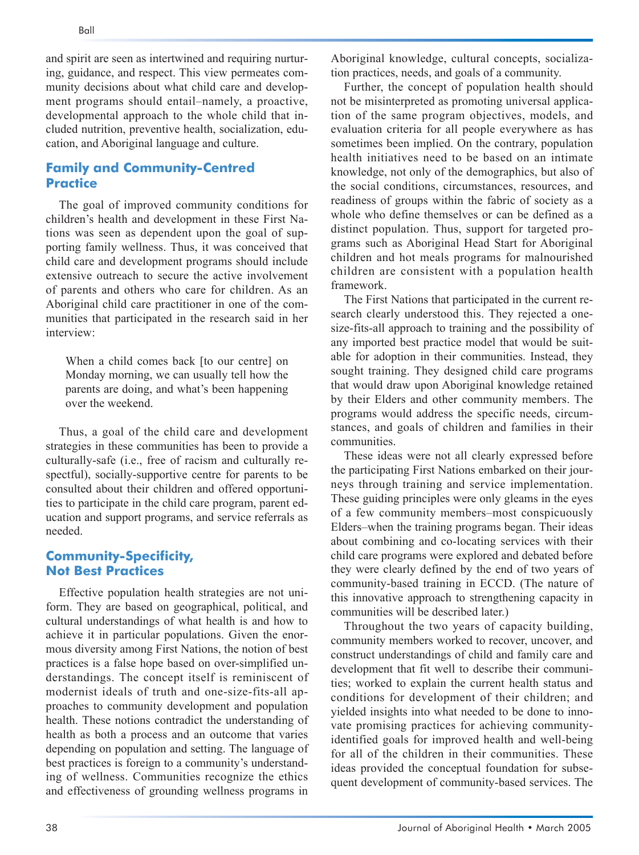and spirit are seen as intertwined and requiring nurturing, guidance, and respect. This view permeates community decisions about what child care and development programs should entail–namely, a proactive, developmental approach to the whole child that included nutrition, preventive health, socialization, education, and Aboriginal language and culture.

#### **Family and Community-Centred Practice**

The goal of improved community conditions for children's health and development in these First Nations was seen as dependent upon the goal of supporting family wellness. Thus, it was conceived that child care and development programs should include extensive outreach to secure the active involvement of parents and others who care for children. As an Aboriginal child care practitioner in one of the communities that participated in the research said in her interview:

When a child comes back [to our centre] on Monday morning, we can usually tell how the parents are doing, and what's been happening over the weekend.

Thus, a goal of the child care and development strategies in these communities has been to provide a culturally-safe (i.e., free of racism and culturally respectful), socially-supportive centre for parents to be consulted about their children and offered opportunities to participate in the child care program, parent education and support programs, and service referrals as needed.

#### **Community-Specificity, Not Best Practices**

Effective population health strategies are not uniform. They are based on geographical, political, and cultural understandings of what health is and how to achieve it in particular populations. Given the enormous diversity among First Nations, the notion of best practices is a false hope based on over-simplified understandings. The concept itself is reminiscent of modernist ideals of truth and one-size-fits-all approaches to community development and population health. These notions contradict the understanding of health as both a process and an outcome that varies depending on population and setting. The language of best practices is foreign to a community's understanding of wellness. Communities recognize the ethics and effectiveness of grounding wellness programs in

Aboriginal knowledge, cultural concepts, socialization practices, needs, and goals of a community.

Further, the concept of population health should not be misinterpreted as promoting universal application of the same program objectives, models, and evaluation criteria for all people everywhere as has sometimes been implied. On the contrary, population health initiatives need to be based on an intimate knowledge, not only of the demographics, but also of the social conditions, circumstances, resources, and readiness of groups within the fabric of society as a whole who define themselves or can be defined as a distinct population. Thus, support for targeted programs such as Aboriginal Head Start for Aboriginal children and hot meals programs for malnourished children are consistent with a population health framework.

The First Nations that participated in the current research clearly understood this. They rejected a onesize-fits-all approach to training and the possibility of any imported best practice model that would be suitable for adoption in their communities. Instead, they sought training. They designed child care programs that would draw upon Aboriginal knowledge retained by their Elders and other community members. The programs would address the specific needs, circumstances, and goals of children and families in their communities.

These ideas were not all clearly expressed before the participating First Nations embarked on their journeys through training and service implementation. These guiding principles were only gleams in the eyes of a few community members–most conspicuously Elders–when the training programs began. Their ideas about combining and co-locating services with their child care programs were explored and debated before they were clearly defined by the end of two years of community-based training in ECCD. (The nature of this innovative approach to strengthening capacity in communities will be described later.)

Throughout the two years of capacity building, community members worked to recover, uncover, and construct understandings of child and family care and development that fit well to describe their communities; worked to explain the current health status and conditions for development of their children; and yielded insights into what needed to be done to innovate promising practices for achieving communityidentified goals for improved health and well-being for all of the children in their communities. These ideas provided the conceptual foundation for subsequent development of community-based services. The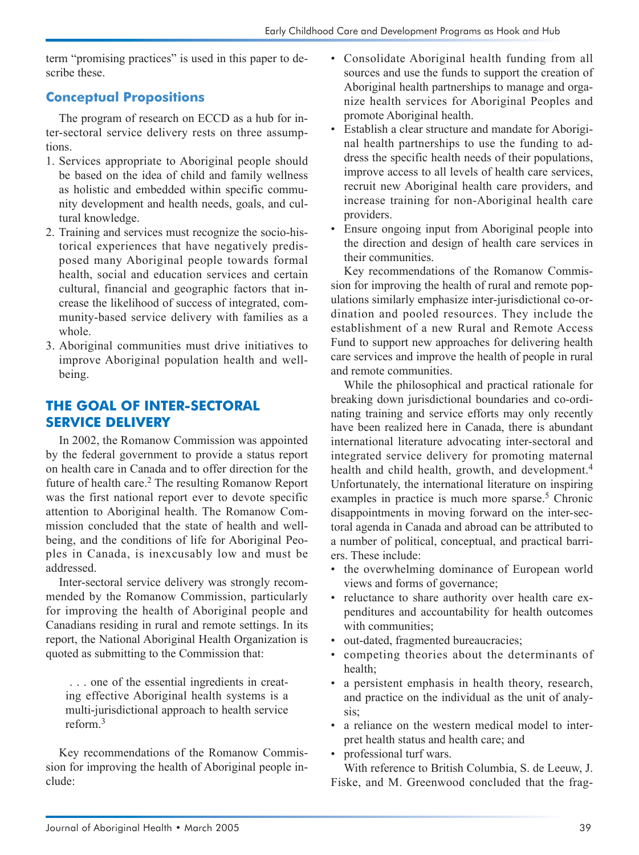term "promising practices" is used in this paper to describe these.

### **Conceptual Propositions**

The program of research on ECCD as a hub for inter-sectoral service delivery rests on three assumptions.

- 1. Services appropriate to Aboriginal people should be based on the idea of child and family wellness as holistic and embedded within specific community development and health needs, goals, and cultural knowledge.
- 2. Training and services must recognize the socio-historical experiences that have negatively predisposed many Aboriginal people towards formal health, social and education services and certain cultural, financial and geographic factors that increase the likelihood of success of integrated, community-based service delivery with families as a whole.
- 3. Aboriginal communities must drive initiatives to improve Aboriginal population health and wellbeing.

# **THE GOAL OF INTER-SECTORAL SERVICE DELIVERY**

In 2002, the Romanow Commission was appointed by the federal government to provide a status report on health care in Canada and to offer direction for the future of health care.<sup>2</sup> The resulting Romanow Report was the first national report ever to devote specific attention to Aboriginal health. The Romanow Commission concluded that the state of health and wellbeing, and the conditions of life for Aboriginal Peoples in Canada, is inexcusably low and must be addressed.

Inter-sectoral service delivery was strongly recommended by the Romanow Commission, particularly for improving the health of Aboriginal people and Canadians residing in rural and remote settings. In its report, the National Aboriginal Health Organization is quoted as submitting to the Commission that:

. . . one of the essential ingredients in creating effective Aboriginal health systems is a multi-jurisdictional approach to health service reform<sup>3</sup>

Key recommendations of the Romanow Commission for improving the health of Aboriginal people include:

- Consolidate Aboriginal health funding from all sources and use the funds to support the creation of Aboriginal health partnerships to manage and organize health services for Aboriginal Peoples and promote Aboriginal health.
- Establish a clear structure and mandate for Aboriginal health partnerships to use the funding to address the specific health needs of their populations, improve access to all levels of health care services, recruit new Aboriginal health care providers, and increase training for non-Aboriginal health care providers.
- Ensure ongoing input from Aboriginal people into the direction and design of health care services in their communities.

Key recommendations of the Romanow Commission for improving the health of rural and remote populations similarly emphasize inter-jurisdictional co-ordination and pooled resources. They include the establishment of a new Rural and Remote Access Fund to support new approaches for delivering health care services and improve the health of people in rural and remote communities.

While the philosophical and practical rationale for breaking down jurisdictional boundaries and co-ordinating training and service efforts may only recently have been realized here in Canada, there is abundant international literature advocating inter-sectoral and integrated service delivery for promoting maternal health and child health, growth, and development.<sup>4</sup> Unfortunately, the international literature on inspiring examples in practice is much more sparse.<sup>5</sup> Chronic disappointments in moving forward on the inter-sectoral agenda in Canada and abroad can be attributed to a number of political, conceptual, and practical barriers. These include:

- the overwhelming dominance of European world views and forms of governance;
- reluctance to share authority over health care expenditures and accountability for health outcomes with communities;
- out-dated, fragmented bureaucracies;
- competing theories about the determinants of health;
- a persistent emphasis in health theory, research, and practice on the individual as the unit of analysis;
- a reliance on the western medical model to interpret health status and health care; and
- professional turf wars.

With reference to British Columbia, S. de Leeuw, J. Fiske, and M. Greenwood concluded that the frag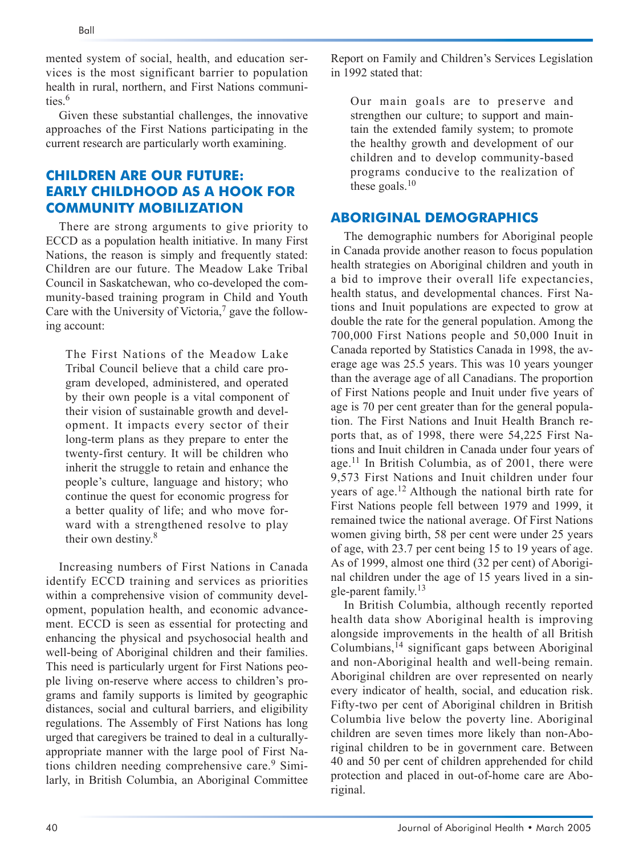mented system of social, health, and education services is the most significant barrier to population health in rural, northern, and First Nations communities<sup>6</sup>

Given these substantial challenges, the innovative approaches of the First Nations participating in the current research are particularly worth examining.

# **CHILDREN ARE OUR FUTURE: EARLY CHILDHOOD AS A HOOK FOR COMMUNITY MOBILIZATION**

There are strong arguments to give priority to ECCD as a population health initiative. In many First Nations, the reason is simply and frequently stated: Children are our future. The Meadow Lake Tribal Council in Saskatchewan, who co-developed the community-based training program in Child and Youth Care with the University of Victoria, $\frac{7}{2}$  gave the following account:

The First Nations of the Meadow Lake Tribal Council believe that a child care program developed, administered, and operated by their own people is a vital component of their vision of sustainable growth and development. It impacts every sector of their long-term plans as they prepare to enter the twenty-first century. It will be children who inherit the struggle to retain and enhance the people's culture, language and history; who continue the quest for economic progress for a better quality of life; and who move forward with a strengthened resolve to play their own destiny.<sup>8</sup>

Increasing numbers of First Nations in Canada identify ECCD training and services as priorities within a comprehensive vision of community development, population health, and economic advancement. ECCD is seen as essential for protecting and enhancing the physical and psychosocial health and well-being of Aboriginal children and their families. This need is particularly urgent for First Nations people living on-reserve where access to children's programs and family supports is limited by geographic distances, social and cultural barriers, and eligibility regulations. The Assembly of First Nations has long urged that caregivers be trained to deal in a culturallyappropriate manner with the large pool of First Nations children needing comprehensive care.<sup>9</sup> Similarly, in British Columbia, an Aboriginal Committee

Report on Family and Children's Services Legislation in 1992 stated that:

Our main goals are to preserve and strengthen our culture; to support and maintain the extended family system; to promote the healthy growth and development of our children and to develop community-based programs conducive to the realization of these goals. $10$ 

#### **ABORIGINAL DEMOGRAPHICS**

The demographic numbers for Aboriginal people in Canada provide another reason to focus population health strategies on Aboriginal children and youth in a bid to improve their overall life expectancies, health status, and developmental chances. First Nations and Inuit populations are expected to grow at double the rate for the general population. Among the 700,000 First Nations people and 50,000 Inuit in Canada reported by Statistics Canada in 1998, the average age was 25.5 years. This was 10 years younger than the average age of all Canadians. The proportion of First Nations people and Inuit under five years of age is 70 per cent greater than for the general population. The First Nations and Inuit Health Branch reports that, as of 1998, there were 54,225 First Nations and Inuit children in Canada under four years of age.<sup>11</sup> In British Columbia, as of 2001, there were 9,573 First Nations and Inuit children under four years of age.12 Although the national birth rate for First Nations people fell between 1979 and 1999, it remained twice the national average. Of First Nations women giving birth, 58 per cent were under 25 years of age, with 23.7 per cent being 15 to 19 years of age. As of 1999, almost one third (32 per cent) of Aboriginal children under the age of 15 years lived in a single-parent family.<sup>13</sup>

In British Columbia, although recently reported health data show Aboriginal health is improving alongside improvements in the health of all British  $Columbians<sup>14</sup> significant gaps between Aboriginal$ and non-Aboriginal health and well-being remain. Aboriginal children are over represented on nearly every indicator of health, social, and education risk. Fifty-two per cent of Aboriginal children in British Columbia live below the poverty line. Aboriginal children are seven times more likely than non-Aboriginal children to be in government care. Between 40 and 50 per cent of children apprehended for child protection and placed in out-of-home care are Aboriginal.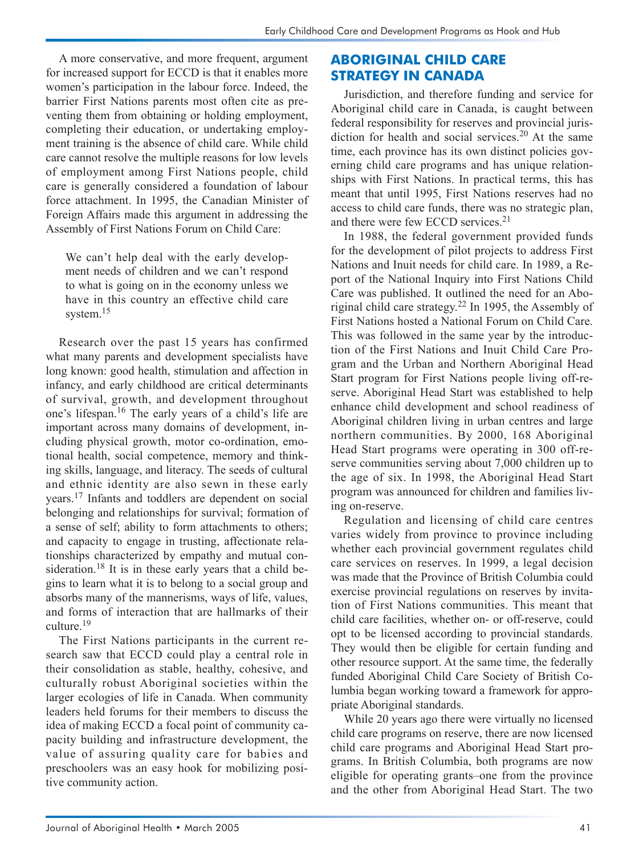A more conservative, and more frequent, argument for increased support for ECCD is that it enables more women's participation in the labour force. Indeed, the barrier First Nations parents most often cite as preventing them from obtaining or holding employment, completing their education, or undertaking employment training is the absence of child care. While child care cannot resolve the multiple reasons for low levels of employment among First Nations people, child care is generally considered a foundation of labour force attachment. In 1995, the Canadian Minister of Foreign Affairs made this argument in addressing the Assembly of First Nations Forum on Child Care:

We can't help deal with the early development needs of children and we can't respond to what is going on in the economy unless we have in this country an effective child care system.<sup>15</sup>

Research over the past 15 years has confirmed what many parents and development specialists have long known: good health, stimulation and affection in infancy, and early childhood are critical determinants of survival, growth, and development throughout one's lifespan.<sup>16</sup> The early years of a child's life are important across many domains of development, including physical growth, motor co-ordination, emotional health, social competence, memory and thinking skills, language, and literacy. The seeds of cultural and ethnic identity are also sewn in these early years.17 Infants and toddlers are dependent on social belonging and relationships for survival; formation of a sense of self; ability to form attachments to others; and capacity to engage in trusting, affectionate relationships characterized by empathy and mutual consideration.<sup>18</sup> It is in these early years that a child begins to learn what it is to belong to a social group and absorbs many of the mannerisms, ways of life, values, and forms of interaction that are hallmarks of their culture.19

The First Nations participants in the current research saw that ECCD could play a central role in their consolidation as stable, healthy, cohesive, and culturally robust Aboriginal societies within the larger ecologies of life in Canada. When community leaders held forums for their members to discuss the idea of making ECCD a focal point of community capacity building and infrastructure development, the value of assuring quality care for babies and preschoolers was an easy hook for mobilizing positive community action.

### **ABORIGINAL CHILD CARE STRATEGY IN CANADA**

Jurisdiction, and therefore funding and service for Aboriginal child care in Canada, is caught between federal responsibility for reserves and provincial jurisdiction for health and social services.<sup>20</sup> At the same time, each province has its own distinct policies governing child care programs and has unique relationships with First Nations. In practical terms, this has meant that until 1995, First Nations reserves had no access to child care funds, there was no strategic plan, and there were few ECCD services.<sup>21</sup>

In 1988, the federal government provided funds for the development of pilot projects to address First Nations and Inuit needs for child care. In 1989, a Report of the National Inquiry into First Nations Child Care was published. It outlined the need for an Aboriginal child care strategy.<sup>22</sup> In 1995, the Assembly of First Nations hosted a National Forum on Child Care. This was followed in the same year by the introduction of the First Nations and Inuit Child Care Program and the Urban and Northern Aboriginal Head Start program for First Nations people living off-reserve. Aboriginal Head Start was established to help enhance child development and school readiness of Aboriginal children living in urban centres and large northern communities. By 2000, 168 Aboriginal Head Start programs were operating in 300 off-reserve communities serving about 7,000 children up to the age of six. In 1998, the Aboriginal Head Start program was announced for children and families living on-reserve.

Regulation and licensing of child care centres varies widely from province to province including whether each provincial government regulates child care services on reserves. In 1999, a legal decision was made that the Province of British Columbia could exercise provincial regulations on reserves by invitation of First Nations communities. This meant that child care facilities, whether on- or off-reserve, could opt to be licensed according to provincial standards. They would then be eligible for certain funding and other resource support. At the same time, the federally funded Aboriginal Child Care Society of British Columbia began working toward a framework for appropriate Aboriginal standards.

While 20 years ago there were virtually no licensed child care programs on reserve, there are now licensed child care programs and Aboriginal Head Start programs. In British Columbia, both programs are now eligible for operating grants–one from the province and the other from Aboriginal Head Start. The two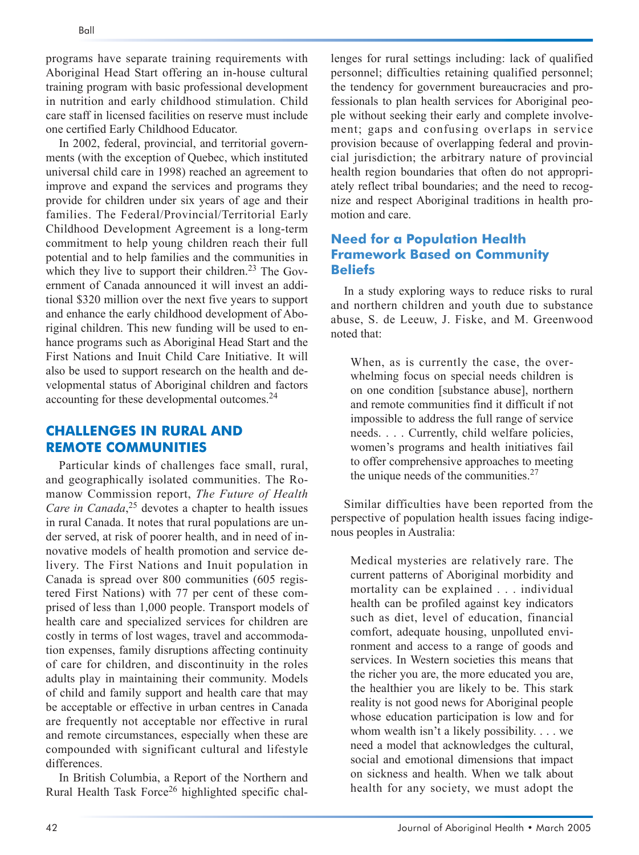programs have separate training requirements with Aboriginal Head Start offering an in-house cultural training program with basic professional development in nutrition and early childhood stimulation. Child care staff in licensed facilities on reserve must include one certified Early Childhood Educator.

In 2002, federal, provincial, and territorial governments (with the exception of Quebec, which instituted universal child care in 1998) reached an agreement to improve and expand the services and programs they provide for children under six years of age and their families. The Federal/Provincial/Territorial Early Childhood Development Agreement is a long-term commitment to help young children reach their full potential and to help families and the communities in which they live to support their children.<sup>23</sup> The Government of Canada announced it will invest an additional \$320 million over the next five years to support and enhance the early childhood development of Aboriginal children. This new funding will be used to enhance programs such as Aboriginal Head Start and the First Nations and Inuit Child Care Initiative. It will also be used to support research on the health and developmental status of Aboriginal children and factors accounting for these developmental outcomes.24

### **CHALLENGES IN RURAL AND REMOTE COMMUNITIES**

Particular kinds of challenges face small, rural, and geographically isolated communities. The Romanow Commission report, *The Future of Health Care in Canada*, <sup>25</sup> devotes a chapter to health issues in rural Canada. It notes that rural populations are under served, at risk of poorer health, and in need of innovative models of health promotion and service delivery. The First Nations and Inuit population in Canada is spread over 800 communities (605 registered First Nations) with 77 per cent of these comprised of less than 1,000 people. Transport models of health care and specialized services for children are costly in terms of lost wages, travel and accommodation expenses, family disruptions affecting continuity of care for children, and discontinuity in the roles adults play in maintaining their community. Models of child and family support and health care that may be acceptable or effective in urban centres in Canada are frequently not acceptable nor effective in rural and remote circumstances, especially when these are compounded with significant cultural and lifestyle differences.

In British Columbia, a Report of the Northern and Rural Health Task Force<sup>26</sup> highlighted specific chal-

lenges for rural settings including: lack of qualified personnel; difficulties retaining qualified personnel; the tendency for government bureaucracies and professionals to plan health services for Aboriginal people without seeking their early and complete involvement; gaps and confusing overlaps in service provision because of overlapping federal and provincial jurisdiction; the arbitrary nature of provincial health region boundaries that often do not appropriately reflect tribal boundaries; and the need to recognize and respect Aboriginal traditions in health promotion and care.

#### **Need for a Population Health Framework Based on Community Beliefs**

In a study exploring ways to reduce risks to rural and northern children and youth due to substance abuse, S. de Leeuw, J. Fiske, and M. Greenwood noted that:

When, as is currently the case, the overwhelming focus on special needs children is on one condition [substance abuse], northern and remote communities find it difficult if not impossible to address the full range of service needs. . . . Currently, child welfare policies, women's programs and health initiatives fail to offer comprehensive approaches to meeting the unique needs of the communities. $27$ 

Similar difficulties have been reported from the perspective of population health issues facing indigenous peoples in Australia:

Medical mysteries are relatively rare. The current patterns of Aboriginal morbidity and mortality can be explained . . . individual health can be profiled against key indicators such as diet, level of education, financial comfort, adequate housing, unpolluted environment and access to a range of goods and services. In Western societies this means that the richer you are, the more educated you are, the healthier you are likely to be. This stark reality is not good news for Aboriginal people whose education participation is low and for whom wealth isn't a likely possibility. . . . we need a model that acknowledges the cultural, social and emotional dimensions that impact on sickness and health. When we talk about health for any society, we must adopt the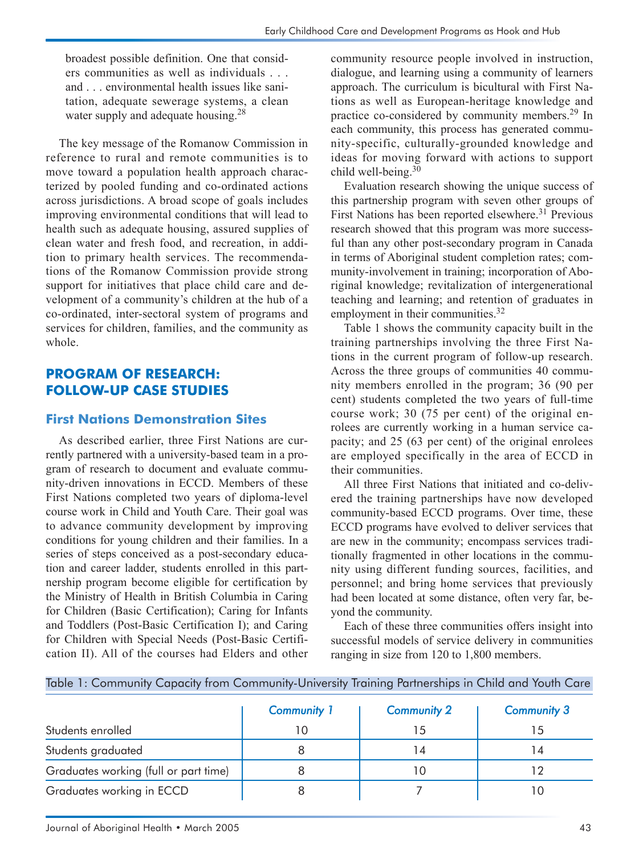broadest possible definition. One that considers communities as well as individuals . . . and . . . environmental health issues like sanitation, adequate sewerage systems, a clean water supply and adequate housing.<sup>28</sup>

The key message of the Romanow Commission in reference to rural and remote communities is to move toward a population health approach characterized by pooled funding and co-ordinated actions across jurisdictions. A broad scope of goals includes improving environmental conditions that will lead to health such as adequate housing, assured supplies of clean water and fresh food, and recreation, in addition to primary health services. The recommendations of the Romanow Commission provide strong support for initiatives that place child care and development of a community's children at the hub of a co-ordinated, inter-sectoral system of programs and services for children, families, and the community as whole.

# **PROGRAM OF RESEARCH: FOLLOW-UP CASE STUDIES**

#### **First Nations Demonstration Sites**

As described earlier, three First Nations are currently partnered with a university-based team in a program of research to document and evaluate community-driven innovations in ECCD. Members of these First Nations completed two years of diploma-level course work in Child and Youth Care. Their goal was to advance community development by improving conditions for young children and their families. In a series of steps conceived as a post-secondary education and career ladder, students enrolled in this partnership program become eligible for certification by the Ministry of Health in British Columbia in Caring for Children (Basic Certification); Caring for Infants and Toddlers (Post-Basic Certification I); and Caring for Children with Special Needs (Post-Basic Certification II). All of the courses had Elders and other

community resource people involved in instruction, dialogue, and learning using a community of learners approach. The curriculum is bicultural with First Nations as well as European-heritage knowledge and practice co-considered by community members.29 In each community, this process has generated community-specific, culturally-grounded knowledge and ideas for moving forward with actions to support child well-being.<sup>30</sup>

Evaluation research showing the unique success of this partnership program with seven other groups of First Nations has been reported elsewhere.<sup>31</sup> Previous research showed that this program was more successful than any other post-secondary program in Canada in terms of Aboriginal student completion rates; community-involvement in training; incorporation of Aboriginal knowledge; revitalization of intergenerational teaching and learning; and retention of graduates in employment in their communities.<sup>32</sup>

Table 1 shows the community capacity built in the training partnerships involving the three First Nations in the current program of follow-up research. Across the three groups of communities 40 community members enrolled in the program; 36 (90 per cent) students completed the two years of full-time course work; 30 (75 per cent) of the original enrolees are currently working in a human service capacity; and 25 (63 per cent) of the original enrolees are employed specifically in the area of ECCD in their communities.

All three First Nations that initiated and co-delivered the training partnerships have now developed community-based ECCD programs. Over time, these ECCD programs have evolved to deliver services that are new in the community; encompass services traditionally fragmented in other locations in the community using different funding sources, facilities, and personnel; and bring home services that previously had been located at some distance, often very far, beyond the community.

Each of these three communities offers insight into successful models of service delivery in communities ranging in size from 120 to 1,800 members.

|  | Table 1: Community Capacity from Community-University Training Partnerships in Child and Youth Care |  |  |  |  |  |  |  |  |  |  |  |
|--|-----------------------------------------------------------------------------------------------------|--|--|--|--|--|--|--|--|--|--|--|
|--|-----------------------------------------------------------------------------------------------------|--|--|--|--|--|--|--|--|--|--|--|

|                                       | <b>Community 1</b> | <b>Community 2</b> | <b>Community 3</b> |  |
|---------------------------------------|--------------------|--------------------|--------------------|--|
| Students enrolled                     | 10                 |                    | $\overline{5}$     |  |
| Students graduated                    |                    | 14                 | 4                  |  |
| Graduates working (full or part time) |                    |                    |                    |  |
| Graduates working in ECCD             |                    |                    |                    |  |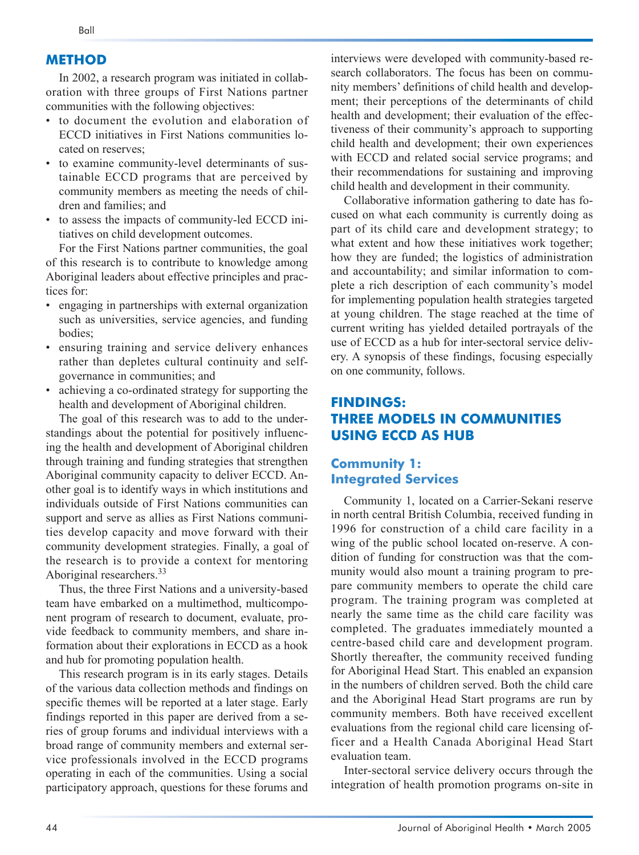#### **METHOD**

In 2002, a research program was initiated in collaboration with three groups of First Nations partner communities with the following objectives:

- to document the evolution and elaboration of ECCD initiatives in First Nations communities located on reserves;
- to examine community-level determinants of sustainable ECCD programs that are perceived by community members as meeting the needs of children and families; and
- to assess the impacts of community-led ECCD initiatives on child development outcomes.

For the First Nations partner communities, the goal of this research is to contribute to knowledge among Aboriginal leaders about effective principles and practices for:

- engaging in partnerships with external organization such as universities, service agencies, and funding bodies;
- ensuring training and service delivery enhances rather than depletes cultural continuity and selfgovernance in communities; and
- achieving a co-ordinated strategy for supporting the health and development of Aboriginal children.

The goal of this research was to add to the understandings about the potential for positively influencing the health and development of Aboriginal children through training and funding strategies that strengthen Aboriginal community capacity to deliver ECCD. Another goal is to identify ways in which institutions and individuals outside of First Nations communities can support and serve as allies as First Nations communities develop capacity and move forward with their community development strategies. Finally, a goal of the research is to provide a context for mentoring Aboriginal researchers.33

Thus, the three First Nations and a university-based team have embarked on a multimethod, multicomponent program of research to document, evaluate, provide feedback to community members, and share information about their explorations in ECCD as a hook and hub for promoting population health.

This research program is in its early stages. Details of the various data collection methods and findings on specific themes will be reported at a later stage. Early findings reported in this paper are derived from a series of group forums and individual interviews with a broad range of community members and external service professionals involved in the ECCD programs operating in each of the communities. Using a social participatory approach, questions for these forums and

interviews were developed with community-based research collaborators. The focus has been on community members' definitions of child health and development; their perceptions of the determinants of child health and development; their evaluation of the effectiveness of their community's approach to supporting child health and development; their own experiences with ECCD and related social service programs; and their recommendations for sustaining and improving child health and development in their community.

Collaborative information gathering to date has focused on what each community is currently doing as part of its child care and development strategy; to what extent and how these initiatives work together; how they are funded; the logistics of administration and accountability; and similar information to complete a rich description of each community's model for implementing population health strategies targeted at young children. The stage reached at the time of current writing has yielded detailed portrayals of the use of ECCD as a hub for inter-sectoral service delivery. A synopsis of these findings, focusing especially on one community, follows.

### **FINDINGS: THREE MODELS IN COMMUNITIES USING ECCD AS HUB**

### **Community 1: Integrated Services**

Community 1, located on a Carrier-Sekani reserve in north central British Columbia, received funding in 1996 for construction of a child care facility in a wing of the public school located on-reserve. A condition of funding for construction was that the community would also mount a training program to prepare community members to operate the child care program. The training program was completed at nearly the same time as the child care facility was completed. The graduates immediately mounted a centre-based child care and development program. Shortly thereafter, the community received funding for Aboriginal Head Start. This enabled an expansion in the numbers of children served. Both the child care and the Aboriginal Head Start programs are run by community members. Both have received excellent evaluations from the regional child care licensing officer and a Health Canada Aboriginal Head Start evaluation team.

Inter-sectoral service delivery occurs through the integration of health promotion programs on-site in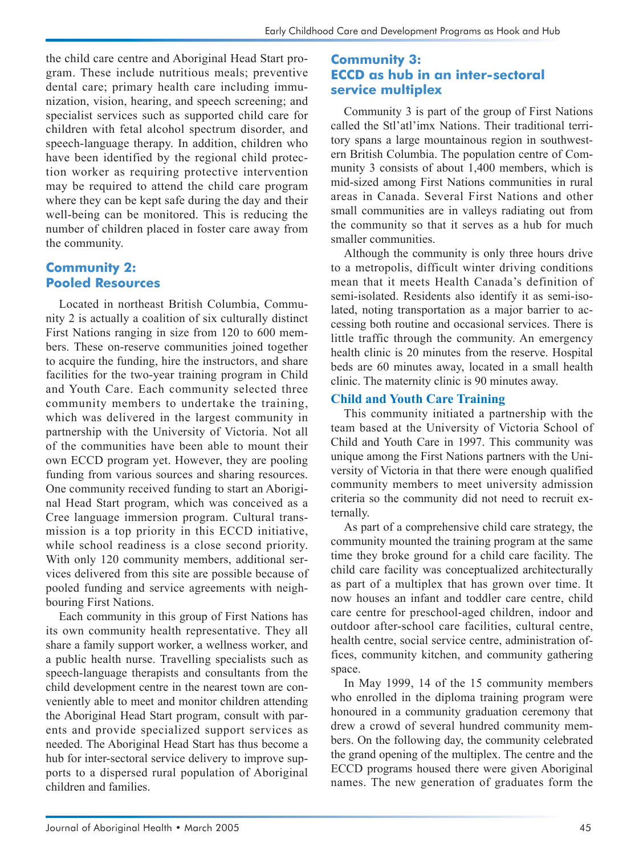the child care centre and Aboriginal Head Start program. These include nutritious meals; preventive dental care; primary health care including immunization, vision, hearing, and speech screening; and specialist services such as supported child care for children with fetal alcohol spectrum disorder, and speech-language therapy. In addition, children who have been identified by the regional child protection worker as requiring protective intervention may be required to attend the child care program where they can be kept safe during the day and their well-being can be monitored. This is reducing the number of children placed in foster care away from the community.

# **Community 2: Pooled Resources**

Located in northeast British Columbia, Community 2 is actually a coalition of six culturally distinct First Nations ranging in size from 120 to 600 members. These on-reserve communities joined together to acquire the funding, hire the instructors, and share facilities for the two-year training program in Child and Youth Care. Each community selected three community members to undertake the training, which was delivered in the largest community in partnership with the University of Victoria. Not all of the communities have been able to mount their own ECCD program yet. However, they are pooling funding from various sources and sharing resources. One community received funding to start an Aboriginal Head Start program, which was conceived as a Cree language immersion program. Cultural transmission is a top priority in this ECCD initiative, while school readiness is a close second priority. With only 120 community members, additional services delivered from this site are possible because of pooled funding and service agreements with neighbouring First Nations.

Each community in this group of First Nations has its own community health representative. They all share a family support worker, a wellness worker, and a public health nurse. Travelling specialists such as speech-language therapists and consultants from the child development centre in the nearest town are conveniently able to meet and monitor children attending the Aboriginal Head Start program, consult with parents and provide specialized support services as needed. The Aboriginal Head Start has thus become a hub for inter-sectoral service delivery to improve supports to a dispersed rural population of Aboriginal children and families.

#### **Community 3: ECCD as hub in an inter-sectoral service multiplex**

Community 3 is part of the group of First Nations called the Stl'atl'imx Nations. Their traditional territory spans a large mountainous region in southwestern British Columbia. The population centre of Community 3 consists of about 1,400 members, which is mid-sized among First Nations communities in rural areas in Canada. Several First Nations and other small communities are in valleys radiating out from the community so that it serves as a hub for much smaller communities.

Although the community is only three hours drive to a metropolis, difficult winter driving conditions mean that it meets Health Canada's definition of semi-isolated. Residents also identify it as semi-isolated, noting transportation as a major barrier to accessing both routine and occasional services. There is little traffic through the community. An emergency health clinic is 20 minutes from the reserve. Hospital beds are 60 minutes away, located in a small health clinic. The maternity clinic is 90 minutes away.

#### **Child and Youth Care Training**

This community initiated a partnership with the team based at the University of Victoria School of Child and Youth Care in 1997. This community was unique among the First Nations partners with the University of Victoria in that there were enough qualified community members to meet university admission criteria so the community did not need to recruit externally.

As part of a comprehensive child care strategy, the community mounted the training program at the same time they broke ground for a child care facility. The child care facility was conceptualized architecturally as part of a multiplex that has grown over time. It now houses an infant and toddler care centre, child care centre for preschool-aged children, indoor and outdoor after-school care facilities, cultural centre, health centre, social service centre, administration offices, community kitchen, and community gathering space.

In May 1999, 14 of the 15 community members who enrolled in the diploma training program were honoured in a community graduation ceremony that drew a crowd of several hundred community members. On the following day, the community celebrated the grand opening of the multiplex. The centre and the ECCD programs housed there were given Aboriginal names. The new generation of graduates form the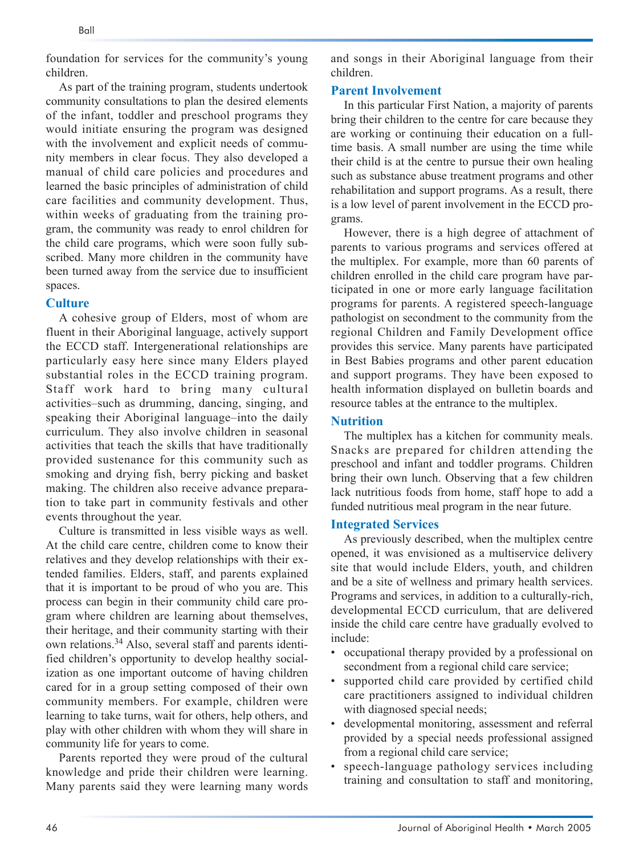foundation for services for the community's young children.

As part of the training program, students undertook community consultations to plan the desired elements of the infant, toddler and preschool programs they would initiate ensuring the program was designed with the involvement and explicit needs of community members in clear focus. They also developed a manual of child care policies and procedures and learned the basic principles of administration of child care facilities and community development. Thus, within weeks of graduating from the training program, the community was ready to enrol children for the child care programs, which were soon fully subscribed. Many more children in the community have been turned away from the service due to insufficient spaces.

#### **Culture**

A cohesive group of Elders, most of whom are fluent in their Aboriginal language, actively support the ECCD staff. Intergenerational relationships are particularly easy here since many Elders played substantial roles in the ECCD training program. Staff work hard to bring many cultural activities–such as drumming, dancing, singing, and speaking their Aboriginal language–into the daily curriculum. They also involve children in seasonal activities that teach the skills that have traditionally provided sustenance for this community such as smoking and drying fish, berry picking and basket making. The children also receive advance preparation to take part in community festivals and other events throughout the year.

Culture is transmitted in less visible ways as well. At the child care centre, children come to know their relatives and they develop relationships with their extended families. Elders, staff, and parents explained that it is important to be proud of who you are. This process can begin in their community child care program where children are learning about themselves, their heritage, and their community starting with their own relations.34 Also, several staff and parents identified children's opportunity to develop healthy socialization as one important outcome of having children cared for in a group setting composed of their own community members. For example, children were learning to take turns, wait for others, help others, and play with other children with whom they will share in community life for years to come.

Parents reported they were proud of the cultural knowledge and pride their children were learning. Many parents said they were learning many words and songs in their Aboriginal language from their children.

#### **Parent Involvement**

In this particular First Nation, a majority of parents bring their children to the centre for care because they are working or continuing their education on a fulltime basis. A small number are using the time while their child is at the centre to pursue their own healing such as substance abuse treatment programs and other rehabilitation and support programs. As a result, there is a low level of parent involvement in the ECCD programs.

However, there is a high degree of attachment of parents to various programs and services offered at the multiplex. For example, more than 60 parents of children enrolled in the child care program have participated in one or more early language facilitation programs for parents. A registered speech-language pathologist on secondment to the community from the regional Children and Family Development office provides this service. Many parents have participated in Best Babies programs and other parent education and support programs. They have been exposed to health information displayed on bulletin boards and resource tables at the entrance to the multiplex.

#### **Nutrition**

The multiplex has a kitchen for community meals. Snacks are prepared for children attending the preschool and infant and toddler programs. Children bring their own lunch. Observing that a few children lack nutritious foods from home, staff hope to add a funded nutritious meal program in the near future.

#### **Integrated Services**

As previously described, when the multiplex centre opened, it was envisioned as a multiservice delivery site that would include Elders, youth, and children and be a site of wellness and primary health services. Programs and services, in addition to a culturally-rich, developmental ECCD curriculum, that are delivered inside the child care centre have gradually evolved to include:

- occupational therapy provided by a professional on secondment from a regional child care service;
- supported child care provided by certified child care practitioners assigned to individual children with diagnosed special needs;
- developmental monitoring, assessment and referral provided by a special needs professional assigned from a regional child care service;
- speech-language pathology services including training and consultation to staff and monitoring,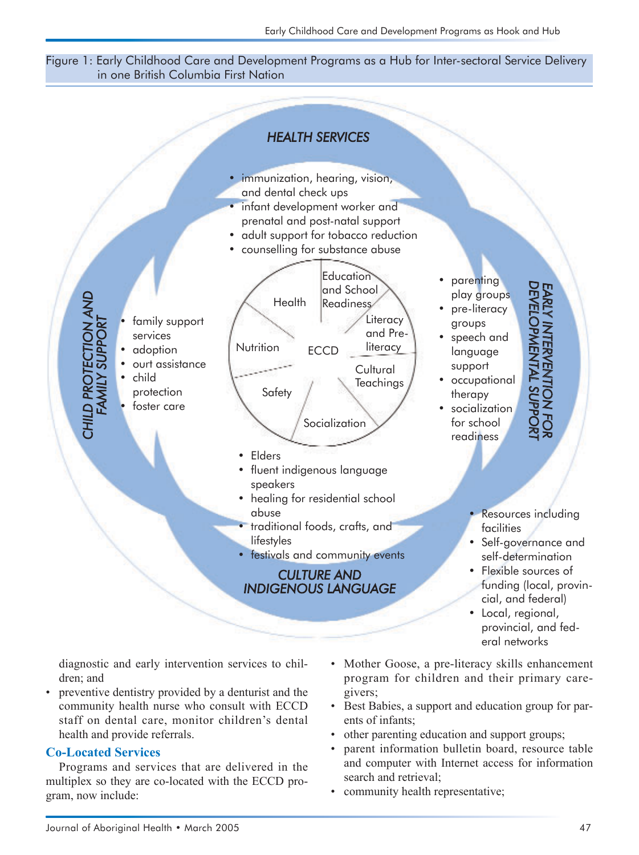#### Figure 1: Early Childhood Care and Development Programs as a Hub for Inter-sectoral Service Delivery in one British Columbia First Nation



diagnostic and early intervention services to children; and

• preventive dentistry provided by a denturist and the community health nurse who consult with ECCD staff on dental care, monitor children's dental health and provide referrals.

#### **Co-Located Services**

Programs and services that are delivered in the multiplex so they are co-located with the ECCD program, now include:

- Mother Goose, a pre-literacy skills enhancement program for children and their primary caregivers;
- Best Babies, a support and education group for parents of infants;
- other parenting education and support groups;
- parent information bulletin board, resource table and computer with Internet access for information search and retrieval;
- community health representative;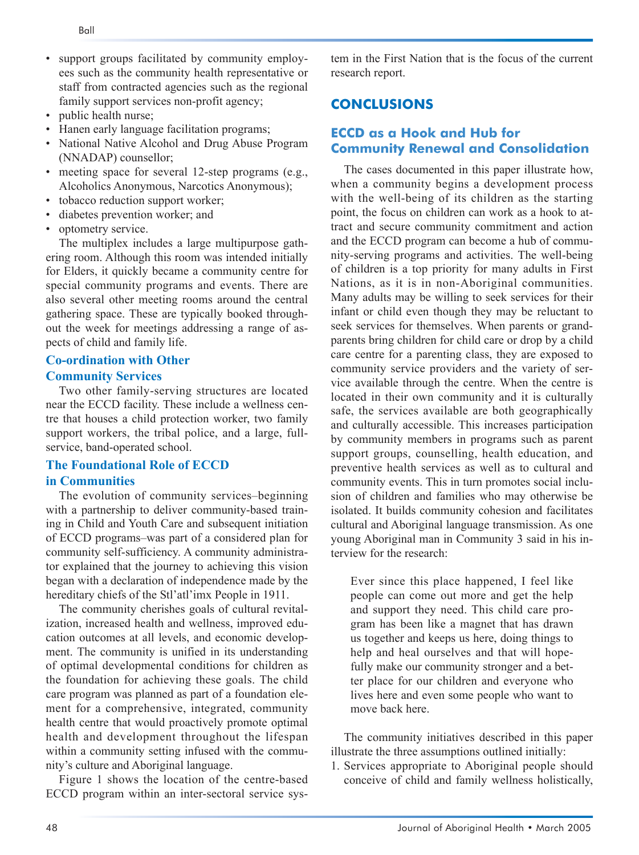- support groups facilitated by community employees such as the community health representative or staff from contracted agencies such as the regional family support services non-profit agency;
- public health nurse;
- Hanen early language facilitation programs;
- National Native Alcohol and Drug Abuse Program (NNADAP) counsellor;
- meeting space for several 12-step programs (e.g., Alcoholics Anonymous, Narcotics Anonymous);
- tobacco reduction support worker;
- diabetes prevention worker; and
- optometry service.

The multiplex includes a large multipurpose gathering room. Although this room was intended initially for Elders, it quickly became a community centre for special community programs and events. There are also several other meeting rooms around the central gathering space. These are typically booked throughout the week for meetings addressing a range of aspects of child and family life.

#### **Co-ordination with Other**

#### **Community Services**

Two other family-serving structures are located near the ECCD facility. These include a wellness centre that houses a child protection worker, two family support workers, the tribal police, and a large, fullservice, band-operated school.

#### **The Foundational Role of ECCD in Communities**

The evolution of community services–beginning with a partnership to deliver community-based training in Child and Youth Care and subsequent initiation of ECCD programs–was part of a considered plan for community self-sufficiency. A community administrator explained that the journey to achieving this vision began with a declaration of independence made by the hereditary chiefs of the Stl'atl'imx People in 1911.

The community cherishes goals of cultural revitalization, increased health and wellness, improved education outcomes at all levels, and economic development. The community is unified in its understanding of optimal developmental conditions for children as the foundation for achieving these goals. The child care program was planned as part of a foundation element for a comprehensive, integrated, community health centre that would proactively promote optimal health and development throughout the lifespan within a community setting infused with the community's culture and Aboriginal language.

Figure 1 shows the location of the centre-based ECCD program within an inter-sectoral service system in the First Nation that is the focus of the current research report.

# **CONCLUSIONS**

# **ECCD as a Hook and Hub for Community Renewal and Consolidation**

The cases documented in this paper illustrate how, when a community begins a development process with the well-being of its children as the starting point, the focus on children can work as a hook to attract and secure community commitment and action and the ECCD program can become a hub of community-serving programs and activities. The well-being of children is a top priority for many adults in First Nations, as it is in non-Aboriginal communities. Many adults may be willing to seek services for their infant or child even though they may be reluctant to seek services for themselves. When parents or grandparents bring children for child care or drop by a child care centre for a parenting class, they are exposed to community service providers and the variety of service available through the centre. When the centre is located in their own community and it is culturally safe, the services available are both geographically and culturally accessible. This increases participation by community members in programs such as parent support groups, counselling, health education, and preventive health services as well as to cultural and community events. This in turn promotes social inclusion of children and families who may otherwise be isolated. It builds community cohesion and facilitates cultural and Aboriginal language transmission. As one young Aboriginal man in Community 3 said in his interview for the research:

Ever since this place happened, I feel like people can come out more and get the help and support they need. This child care program has been like a magnet that has drawn us together and keeps us here, doing things to help and heal ourselves and that will hopefully make our community stronger and a better place for our children and everyone who lives here and even some people who want to move back here.

The community initiatives described in this paper illustrate the three assumptions outlined initially:

1. Services appropriate to Aboriginal people should conceive of child and family wellness holistically,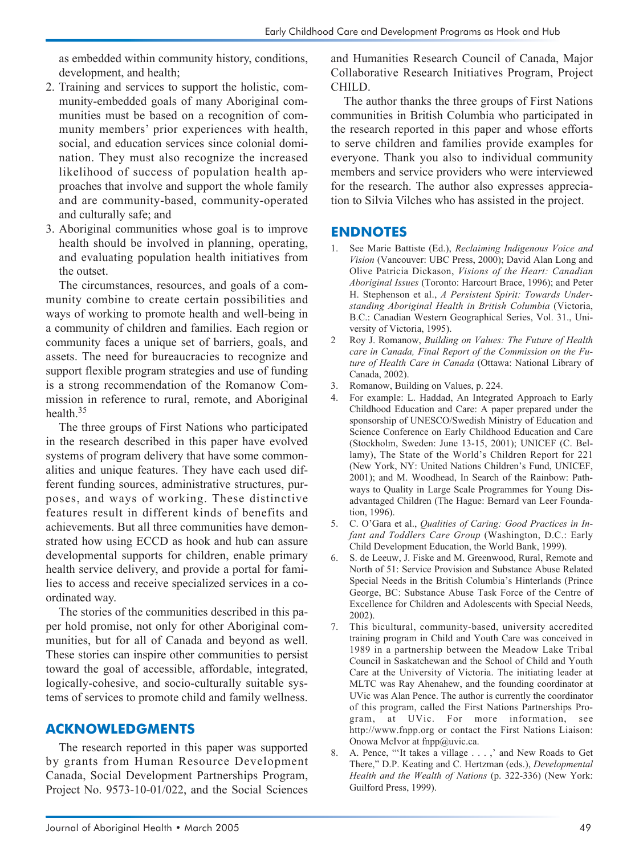as embedded within community history, conditions, development, and health;

- 2. Training and services to support the holistic, community-embedded goals of many Aboriginal communities must be based on a recognition of community members' prior experiences with health, social, and education services since colonial domination. They must also recognize the increased likelihood of success of population health approaches that involve and support the whole family and are community-based, community-operated and culturally safe; and
- 3. Aboriginal communities whose goal is to improve health should be involved in planning, operating, and evaluating population health initiatives from the outset.

The circumstances, resources, and goals of a community combine to create certain possibilities and ways of working to promote health and well-being in a community of children and families. Each region or community faces a unique set of barriers, goals, and assets. The need for bureaucracies to recognize and support flexible program strategies and use of funding is a strong recommendation of the Romanow Commission in reference to rural, remote, and Aboriginal health  $35$ 

The three groups of First Nations who participated in the research described in this paper have evolved systems of program delivery that have some commonalities and unique features. They have each used different funding sources, administrative structures, purposes, and ways of working. These distinctive features result in different kinds of benefits and achievements. But all three communities have demonstrated how using ECCD as hook and hub can assure developmental supports for children, enable primary health service delivery, and provide a portal for families to access and receive specialized services in a coordinated way.

The stories of the communities described in this paper hold promise, not only for other Aboriginal communities, but for all of Canada and beyond as well. These stories can inspire other communities to persist toward the goal of accessible, affordable, integrated, logically-cohesive, and socio-culturally suitable systems of services to promote child and family wellness.

#### **ACKNOWLEDGMENTS**

The research reported in this paper was supported by grants from Human Resource Development Canada, Social Development Partnerships Program, Project No. 9573-10-01/022, and the Social Sciences

and Humanities Research Council of Canada, Major Collaborative Research Initiatives Program, Project CHILD.

The author thanks the three groups of First Nations communities in British Columbia who participated in the research reported in this paper and whose efforts to serve children and families provide examples for everyone. Thank you also to individual community members and service providers who were interviewed for the research. The author also expresses appreciation to Silvia Vilches who has assisted in the project.

#### **ENDNOTES**

- 1. See Marie Battiste (Ed.), *Reclaiming Indigenous Voice and Vision* (Vancouver: UBC Press, 2000); David Alan Long and Olive Patricia Dickason, *Visions of the Heart: Canadian Aboriginal Issues* (Toronto: Harcourt Brace, 1996); and Peter H. Stephenson et al., *A Persistent Spirit: Towards Understanding Aboriginal Health in British Columbia* (Victoria, B.C.: Canadian Western Geographical Series, Vol. 31., University of Victoria, 1995).
- 2 Roy J. Romanow, *Building on Values: The Future of Health care in Canada, Final Report of the Commission on the Future of Health Care in Canada* (Ottawa: National Library of Canada, 2002).
- 3. Romanow, Building on Values, p. 224.
- 4. For example: L. Haddad, An Integrated Approach to Early Childhood Education and Care: A paper prepared under the sponsorship of UNESCO/Swedish Ministry of Education and Science Conference on Early Childhood Education and Care (Stockholm, Sweden: June 13-15, 2001); UNICEF (C. Bellamy), The State of the World's Children Report for 221 (New York, NY: United Nations Children's Fund, UNICEF, 2001); and M. Woodhead, In Search of the Rainbow: Pathways to Quality in Large Scale Programmes for Young Disadvantaged Children (The Hague: Bernard van Leer Foundation, 1996).
- 5. C. O'Gara et al., *Qualities of Caring: Good Practices in Infant and Toddlers Care Group* (Washington, D.C.: Early Child Development Education, the World Bank, 1999).
- 6. S. de Leeuw, J. Fiske and M. Greenwood, Rural, Remote and North of 51: Service Provision and Substance Abuse Related Special Needs in the British Columbia's Hinterlands (Prince George, BC: Substance Abuse Task Force of the Centre of Excellence for Children and Adolescents with Special Needs, 2002).
- 7. This bicultural, community-based, university accredited training program in Child and Youth Care was conceived in 1989 in a partnership between the Meadow Lake Tribal Council in Saskatchewan and the School of Child and Youth Care at the University of Victoria. The initiating leader at MLTC was Ray Ahenahew, and the founding coordinator at UVic was Alan Pence. The author is currently the coordinator of this program, called the First Nations Partnerships Program, at UVic. For more information, see http://www.fnpp.org or contact the First Nations Liaison: Onowa McIvor at fnpp@uvic.ca.
- 8. A. Pence, "'It takes a village . . . ,' and New Roads to Get There," D.P. Keating and C. Hertzman (eds.), *Developmental Health and the Wealth of Nations* (p. 322-336) (New York: Guilford Press, 1999).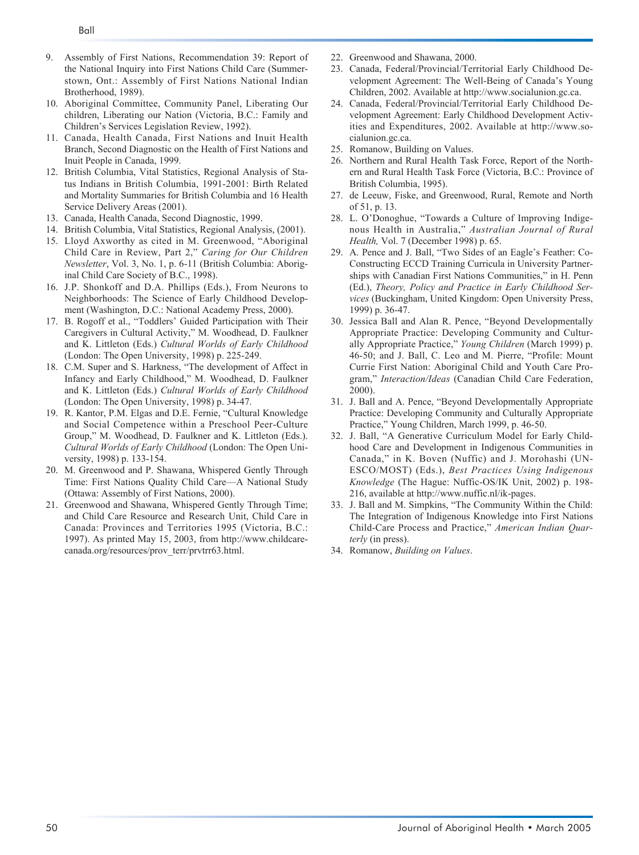- 9. Assembly of First Nations, Recommendation 39: Report of the National Inquiry into First Nations Child Care (Summerstown, Ont.: Assembly of First Nations National Indian Brotherhood, 1989).
- 10. Aboriginal Committee, Community Panel, Liberating Our children, Liberating our Nation (Victoria, B.C.: Family and Children's Services Legislation Review, 1992).
- 11. Canada, Health Canada, First Nations and Inuit Health Branch, Second Diagnostic on the Health of First Nations and Inuit People in Canada, 1999.
- 12. British Columbia, Vital Statistics, Regional Analysis of Status Indians in British Columbia, 1991-2001: Birth Related and Mortality Summaries for British Columbia and 16 Health Service Delivery Areas (2001).
- 13. Canada, Health Canada, Second Diagnostic, 1999.
- 14. British Columbia, Vital Statistics, Regional Analysis, (2001).
- 15. Lloyd Axworthy as cited in M. Greenwood, "Aboriginal Child Care in Review, Part 2," *Caring for Our Children Newsletter*, Vol. 3, No. 1, p. 6-11 (British Columbia: Aboriginal Child Care Society of B.C., 1998).
- 16. J.P. Shonkoff and D.A. Phillips (Eds.), From Neurons to Neighborhoods: The Science of Early Childhood Development (Washington, D.C.: National Academy Press, 2000).
- 17. B. Rogoff et al., "Toddlers' Guided Participation with Their Caregivers in Cultural Activity," M. Woodhead, D. Faulkner and K. Littleton (Eds.) *Cultural Worlds of Early Childhood* (London: The Open University, 1998) p. 225-249.
- 18. C.M. Super and S. Harkness, "The development of Affect in Infancy and Early Childhood," M. Woodhead, D. Faulkner and K. Littleton (Eds.) *Cultural Worlds of Early Childhood* (London: The Open University, 1998) p. 34-47.
- 19. R. Kantor, P.M. Elgas and D.E. Fernie, "Cultural Knowledge and Social Competence within a Preschool Peer-Culture Group," M. Woodhead, D. Faulkner and K. Littleton (Eds.). *Cultural Worlds of Early Childhood* (London: The Open University, 1998) p. 133-154.
- 20. M. Greenwood and P. Shawana, Whispered Gently Through Time: First Nations Quality Child Care—A National Study (Ottawa: Assembly of First Nations, 2000).
- 21. Greenwood and Shawana, Whispered Gently Through Time; and Child Care Resource and Research Unit, Child Care in Canada: Provinces and Territories 1995 (Victoria, B.C.: 1997). As printed May 15, 2003, from http://www.childcarecanada.org/resources/prov\_terr/prvtrr63.html.
- 22. Greenwood and Shawana, 2000.
- 23. Canada, Federal/Provincial/Territorial Early Childhood Development Agreement: The Well-Being of Canada's Young Children, 2002. Available at http://www.socialunion.gc.ca.
- 24. Canada, Federal/Provincial/Territorial Early Childhood Development Agreement: Early Childhood Development Activities and Expenditures, 2002. Available at http://www.socialunion.gc.ca.
- 25. Romanow, Building on Values.
- 26. Northern and Rural Health Task Force, Report of the Northern and Rural Health Task Force (Victoria, B.C.: Province of British Columbia, 1995).
- 27. de Leeuw, Fiske, and Greenwood, Rural, Remote and North of 51, p. 13.
- 28. L. O'Donoghue, "Towards a Culture of Improving Indigenous Health in Australia," *Australian Journal of Rural Health,* Vol. 7 (December 1998) p. 65.
- 29. A. Pence and J. Ball, "Two Sides of an Eagle's Feather: Co-Constructing ECCD Training Curricula in University Partnerships with Canadian First Nations Communities," in H. Penn (Ed.), *Theory, Policy and Practice in Early Childhood Services* (Buckingham, United Kingdom: Open University Press, 1999) p. 36-47.
- 30. Jessica Ball and Alan R. Pence, "Beyond Developmentally Appropriate Practice: Developing Community and Culturally Appropriate Practice," *Young Children* (March 1999) p. 46-50; and J. Ball, C. Leo and M. Pierre, "Profile: Mount Currie First Nation: Aboriginal Child and Youth Care Program," *Interaction/Ideas* (Canadian Child Care Federation, 2000).
- 31. J. Ball and A. Pence, "Beyond Developmentally Appropriate Practice: Developing Community and Culturally Appropriate Practice," Young Children, March 1999, p. 46-50.
- 32. J. Ball, "A Generative Curriculum Model for Early Childhood Care and Development in Indigenous Communities in Canada," in K. Boven (Nuffic) and J. Morohashi (UN-ESCO/MOST) (Eds.), *Best Practices Using Indigenous Knowledge* (The Hague: Nuffic-OS/IK Unit, 2002) p. 198- 216, available at http://www.nuffic.nl/ik-pages.
- 33. J. Ball and M. Simpkins, "The Community Within the Child: The Integration of Indigenous Knowledge into First Nations Child-Care Process and Practice," *American Indian Quarterly* (in press).
- 34. Romanow, *Building on Values*.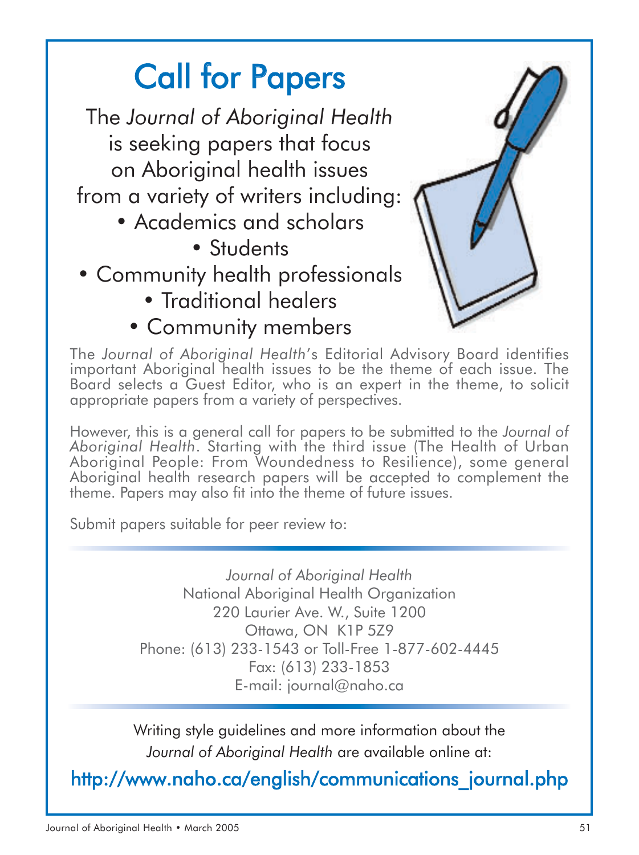# Call for Papers

The *Journal of Aboriginal Health* is seeking papers that focus on Aboriginal health issues from a variety of writers including:

- Academics and scholars
	- Students
- Community health professionals
	- Traditional healers
	- Community members



The *Journal of Aboriginal Health*'s Editorial Advisory Board identifies important Aboriginal health issues to be the theme of each issue. The Board selects a Guest Editor, who is an expert in the theme, to solicit appropriate papers from a variety of perspectives.

However, this is a general call for papers to be submitted to the *Journal of Aboriginal Health*. Starting with the third issue (The Health of Urban Aboriginal People: From Woundedness to Resilience), some general Aboriginal health research papers will be accepted to complement the theme. Papers may also fit into the theme of future issues.

Submit papers suitable for peer review to:

*Journal of Aboriginal Health* National Aboriginal Health Organization 220 Laurier Ave. W., Suite 1200 Ottawa, ON K1P 5Z9 Phone: (613) 233-1543 or Toll-Free 1-877-602-4445 Fax: (613) 233-1853 E-mail: journal@naho.ca

Writing style guidelines and more information about the *Journal of Aboriginal Health* are available online at:

http://www.naho.ca/english/communications\_journal.php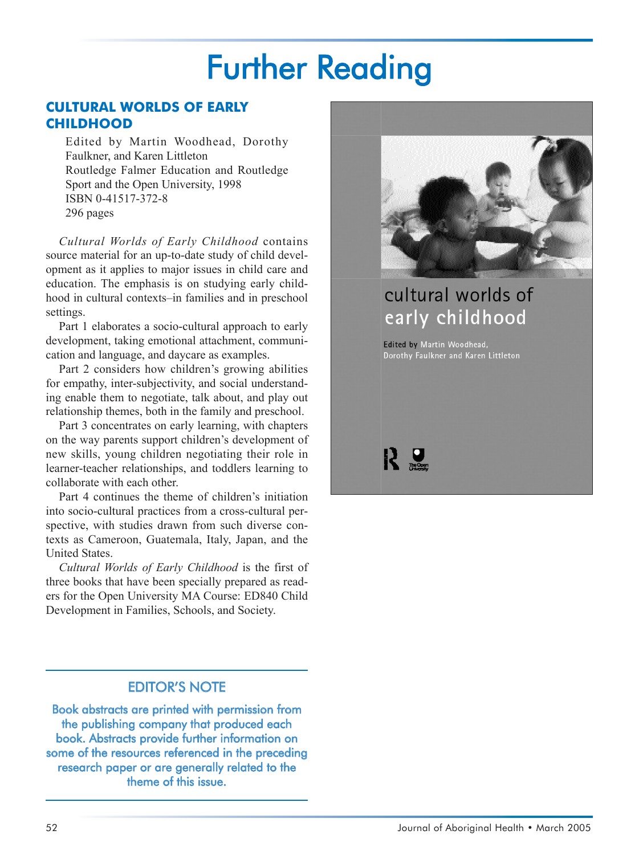# Further Reading

#### **CULTURAL WORLDS OF EARLY CHILDHOOD**

Edited by Martin Woodhead, Dorothy Faulkner, and Karen Littleton Routledge Falmer Education and Routledge Sport and the Open University, 1998 ISBN 0-41517-372-8 296 pages

*Cultural Worlds of Early Childhood* contains source material for an up-to-date study of child development as it applies to major issues in child care and education. The emphasis is on studying early childhood in cultural contexts–in families and in preschool settings.

Part 1 elaborates a socio-cultural approach to early development, taking emotional attachment, communication and language, and daycare as examples.

Part 2 considers how children's growing abilities for empathy, inter-subjectivity, and social understanding enable them to negotiate, talk about, and play out relationship themes, both in the family and preschool.

Part 3 concentrates on early learning, with chapters on the way parents support children's development of new skills, young children negotiating their role in learner-teacher relationships, and toddlers learning to collaborate with each other.

Part 4 continues the theme of children's initiation into socio-cultural practices from a cross-cultural perspective, with studies drawn from such diverse contexts as Cameroon, Guatemala, Italy, Japan, and the United States.

*Cultural Worlds of Early Childhood* is the first of three books that have been specially prepared as readers for the Open University MA Course: ED840 Child Development in Families, Schools, and Society.

### EDITOR'S NOTE

Book abstracts are printed with permission from the publishing company that produced each book. Abstracts provide further information on some of the resources referenced in the preceding research paper or are generally related to the theme of this issue.



# cultural worlds of early childhood

Edited by Martin Woodhead, Dorothy Faulkner and Karen Littleton

R S